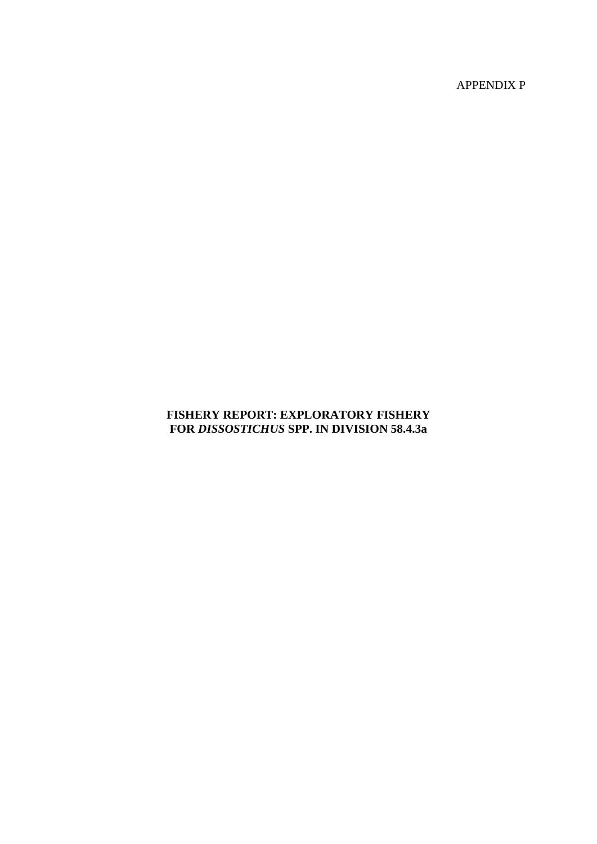APPENDIX P

# **FISHERY REPORT: EXPLORATORY FISHERY FOR** *DISSOSTICHUS* **SPP. IN DIVISION 58.4.3a**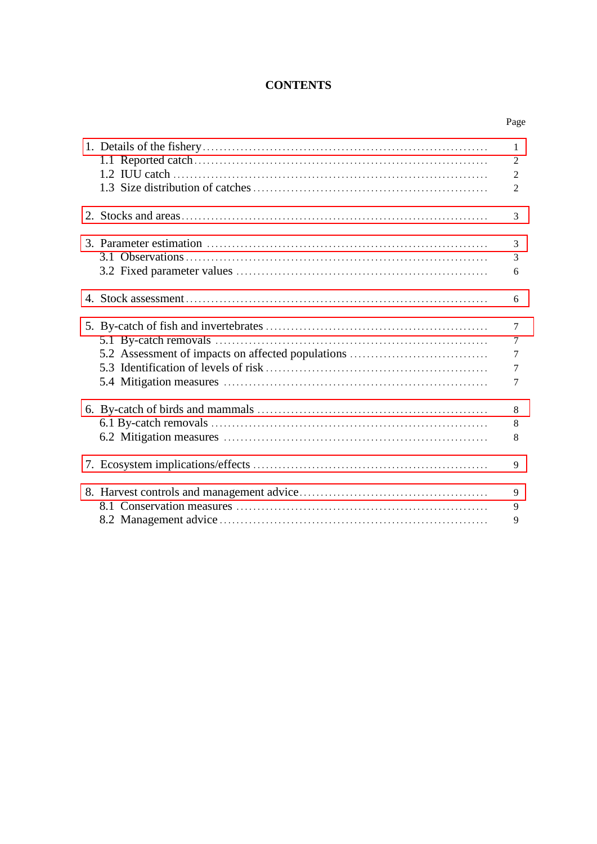# **CONTENTS**

|                                                   | $\mathbf{1}$   |
|---------------------------------------------------|----------------|
|                                                   | $\overline{2}$ |
|                                                   | $\overline{2}$ |
|                                                   | $\overline{2}$ |
|                                                   | 3              |
|                                                   |                |
|                                                   | 3              |
|                                                   | 3              |
|                                                   | 6              |
|                                                   | 6              |
|                                                   |                |
|                                                   | $\overline{7}$ |
|                                                   | $\tau$         |
| 5.2 Assessment of impacts on affected populations | 7              |
|                                                   | 7              |
|                                                   | 7              |
|                                                   | 8              |
|                                                   | 8              |
|                                                   | 8              |
|                                                   | 9              |
|                                                   |                |
|                                                   | 9              |
|                                                   | 9              |
|                                                   | 9              |
|                                                   |                |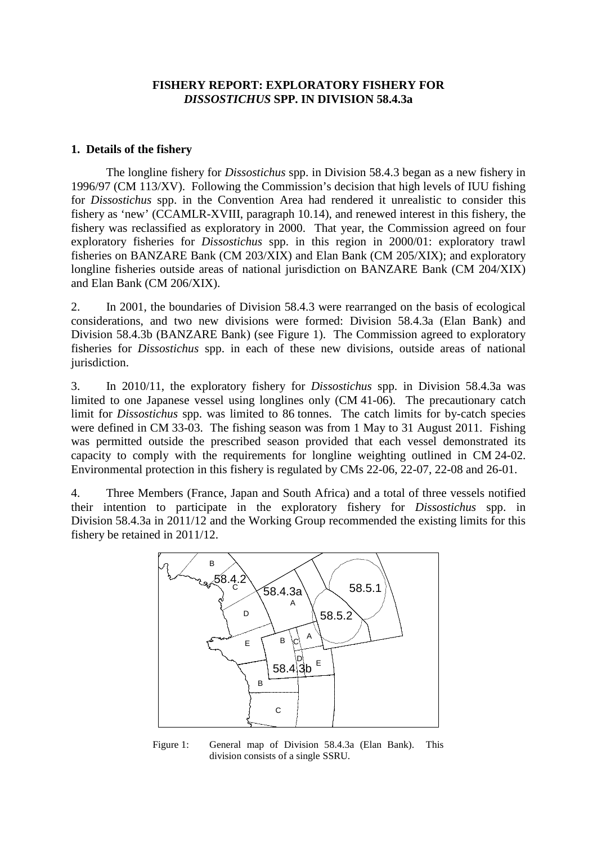# **FISHERY REPORT: EXPLORATORY FISHERY FOR**  *DISSOSTICHUS* **SPP. IN DIVISION 58.4.3a**

# <span id="page-2-0"></span>**1. Details of the fishery**

The longline fishery for *Dissostichus* spp. in Division 58.4.3 began as a new fishery in 1996/97 (CM 113/XV). Following the Commission's decision that high levels of IUU fishing for *Dissostichus* spp. in the Convention Area had rendered it unrealistic to consider this fishery as 'new' (CCAMLR-XVIII, paragraph 10.14), and renewed interest in this fishery, the fishery was reclassified as exploratory in 2000. That year, the Commission agreed on four exploratory fisheries for *Dissostichus* spp. in this region in 2000/01: exploratory trawl fisheries on BANZARE Bank (CM 203/XIX) and Elan Bank (CM 205/XIX); and exploratory longline fisheries outside areas of national jurisdiction on BANZARE Bank (CM 204/XIX) and Elan Bank (CM 206/XIX).

2. In 2001, the boundaries of Division 58.4.3 were rearranged on the basis of ecological considerations, and two new divisions were formed: Division 58.4.3a (Elan Bank) and Division 58.4.3b (BANZARE Bank) (see Figure 1). The Commission agreed to exploratory fisheries for *Dissostichus* spp. in each of these new divisions, outside areas of national jurisdiction.

3. In 2010/11, the exploratory fishery for *Dissostichus* spp. in Division 58.4.3a was limited to one Japanese vessel using longlines only (CM 41-06). The precautionary catch limit for *Dissostichus* spp. was limited to 86 tonnes. The catch limits for by-catch species were defined in CM 33-03. The fishing season was from 1 May to 31 August 2011. Fishing was permitted outside the prescribed season provided that each vessel demonstrated its capacity to comply with the requirements for longline weighting outlined in CM 24-02. Environmental protection in this fishery is regulated by CMs 22-06, 22-07, 22-08 and 26-01.

4. Three Members (France, Japan and South Africa) and a total of three vessels notified their intention to participate in the exploratory fishery for *Dissostichus* spp. in Division 58.4.3a in 2011/12 and the Working Group recommended the existing limits for this fishery be retained in 2011/12.



Figure 1: General map of Division 58.4.3a (Elan Bank). This division consists of a single SSRU.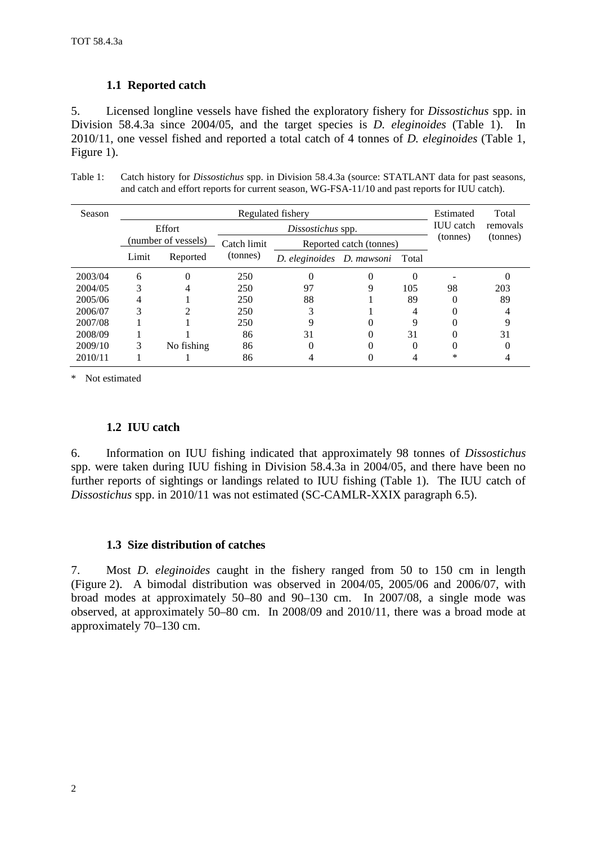# **1.1 Reported catch**

5. Licensed longline vessels have fished the exploratory fishery for *Dissostichus* spp. in Division 58.4.3a since 2004/05, and the target species is *D. eleginoides* (Table 1). In 2010/11, one vessel fished and reported a total catch of 4 tonnes of *D. eleginoides* (Table 1, Figure 1).

Table 1: Catch history for *Dissostichus* spp. in Division 58.4.3a (source: STATLANT data for past seasons, and catch and effort reports for current season, WG-FSA-11/10 and past reports for IUU catch).

| Season  | Regulated fishery                        |            |             |                                 |                  |          |          | Total    |
|---------|------------------------------------------|------------|-------------|---------------------------------|------------------|----------|----------|----------|
|         | Effort                                   |            |             | Dissostichus spp.               | <b>IUU</b> catch | removals |          |          |
|         | (number of vessels)<br>Limit<br>Reported |            | Catch limit | Reported catch (tonnes)         |                  |          | (tonnes) | (tonnes) |
|         |                                          |            | (tonnes)    | D. eleginoides D. mawsoni Total |                  |          |          |          |
| 2003/04 | 6                                        | 0          | 250         | 0                               |                  | 0        |          |          |
| 2004/05 | 3                                        |            | 250         | 97                              | Q                | 105      | 98       | 203      |
| 2005/06 | 4                                        |            | 250         | 88                              |                  | 89       | 0        | 89       |
| 2006/07 | 3                                        |            | 250         |                                 |                  | 4        | 0        |          |
| 2007/08 |                                          |            | 250         |                                 |                  | 9        |          |          |
| 2008/09 |                                          |            | 86          | 31                              |                  | 31       |          | 31       |
| 2009/10 | 3                                        | No fishing | 86          |                                 |                  | 0        | 0        |          |
| 2010/11 |                                          |            | 86          |                                 |                  |          | ∗        |          |

\* Not estimated

# **1.2 IUU catch**

6. Information on IUU fishing indicated that approximately 98 tonnes of *Dissostichus* spp. were taken during IUU fishing in Division 58.4.3a in 2004/05, and there have been no further reports of sightings or landings related to IUU fishing (Table 1). The IUU catch of *Dissostichus* spp. in 2010/11 was not estimated (SC-CAMLR-XXIX paragraph 6.5).

# **1.3 Size distribution of catches**

7. Most *D. eleginoides* caught in the fishery ranged from 50 to 150 cm in length (Figure 2). A bimodal distribution was observed in 2004/05, 2005/06 and 2006/07, with broad modes at approximately 50–80 and 90–130 cm. In 2007/08, a single mode was observed, at approximately 50–80 cm. In 2008/09 and 2010/11, there was a broad mode at approximately 70–130 cm.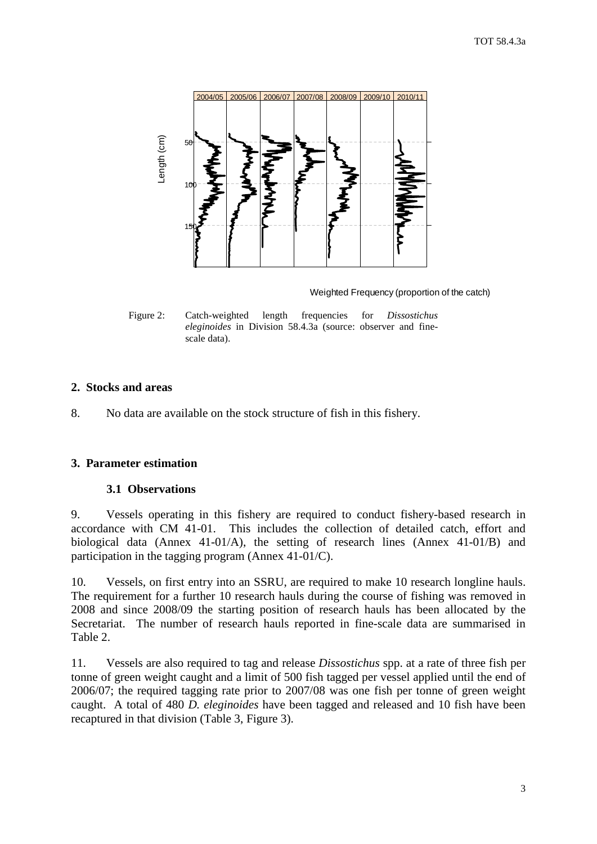<span id="page-4-0"></span>

Weighted Frequency (proportion of the catch)

Figure 2: Catch-weighted length frequencies for *Dissostichus eleginoides* in Division 58.4.3a (source: observer and finescale data).

# **2. Stocks and areas**

8. No data are available on the stock structure of fish in this fishery.

# **3. Parameter estimation**

# **3.1 Observations**

9. Vessels operating in this fishery are required to conduct fishery-based research in accordance with CM 41-01. This includes the collection of detailed catch, effort and biological data (Annex 41-01/A), the setting of research lines (Annex 41-01/B) and participation in the tagging program (Annex 41-01/C).

10. Vessels, on first entry into an SSRU, are required to make 10 research longline hauls. The requirement for a further 10 research hauls during the course of fishing was removed in 2008 and since 2008/09 the starting position of research hauls has been allocated by the Secretariat. The number of research hauls reported in fine-scale data are summarised in Table 2.

11. Vessels are also required to tag and release *Dissostichus* spp. at a rate of three fish per tonne of green weight caught and a limit of 500 fish tagged per vessel applied until the end of 2006/07; the required tagging rate prior to 2007/08 was one fish per tonne of green weight caught. A total of 480 *D. eleginoides* have been tagged and released and 10 fish have been recaptured in that division (Table 3, Figure 3).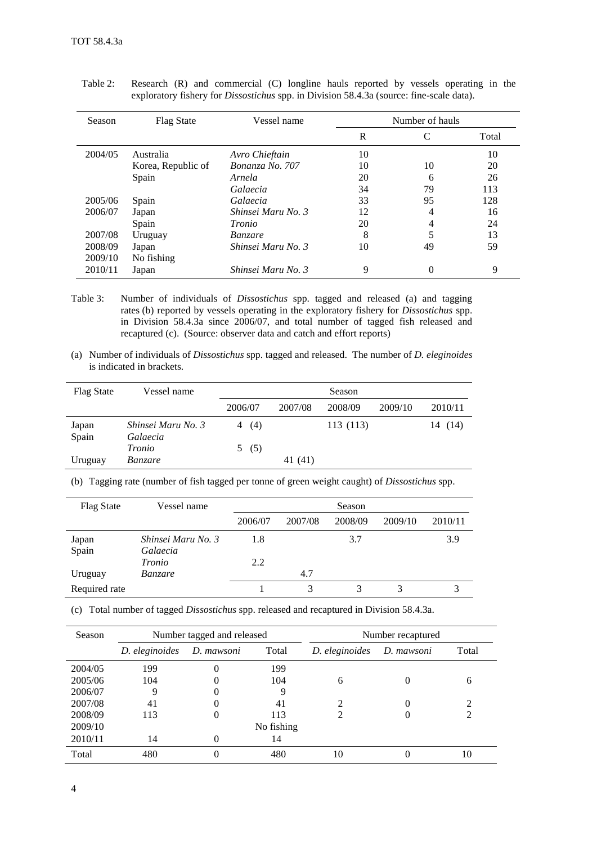| Season  | <b>Flag State</b>  | Vessel name        |    | Number of hauls |       |
|---------|--------------------|--------------------|----|-----------------|-------|
|         |                    |                    | R  | C               | Total |
| 2004/05 | Australia          | Avro Chieftain     | 10 |                 | 10    |
|         | Korea, Republic of | Bonanza No. 707    | 10 | 10              | 20    |
|         | Spain              | Arnela             | 20 | 6               | 26    |
|         |                    | Galaecia           | 34 | 79              | 113   |
| 2005/06 | Spain              | Galaecia           | 33 | 95              | 128   |
| 2006/07 | Japan              | Shinsei Maru No. 3 | 12 | 4               | 16    |
|         | Spain              | Tronio             | 20 | 4               | 24    |
| 2007/08 | Uruguay            | <i>Banzare</i>     | 8  | 5               | 13    |
| 2008/09 | Japan              | Shinsei Maru No. 3 | 10 | 49              | 59    |
| 2009/10 | No fishing         |                    |    |                 |       |
| 2010/11 | Japan              | Shinsei Maru No. 3 | 9  | 0               | 9     |

Table 2: Research (R) and commercial (C) longline hauls reported by vessels operating in the exploratory fishery for *Dissostichus* spp. in Division 58.4.3a (source: fine-scale data).

- Table 3: Number of individuals of *Dissostichus* spp. tagged and released (a) and tagging rates (b) reported by vessels operating in the exploratory fishery for *Dissostichus* spp. in Division 58.4.3a since 2006/07, and total number of tagged fish released and recaptured (c). (Source: observer data and catch and effort reports)
- (a) Number of individuals of *Dissostichus* spp. tagged and released. The number of *D. eleginoides* is indicated in brackets.

| <b>Flag State</b> | Vessel name                    |          |         | Season    |         |            |
|-------------------|--------------------------------|----------|---------|-----------|---------|------------|
|                   |                                | 2006/07  | 2007/08 | 2008/09   | 2009/10 | 2010/11    |
| Japan<br>Spain    | Shinsei Maru No. 3<br>Galaecia | (4)<br>4 |         | 113 (113) |         | (14)<br>14 |
|                   | Tronio                         | 5(5)     |         |           |         |            |
| Uruguay           | <i>Banzare</i>                 |          | 41 (41) |           |         |            |

(b) Tagging rate (number of fish tagged per tonne of green weight caught) of *Dissostichus* spp.

| <b>Flag State</b> | Vessel name                    |         |         | Season  |         |         |
|-------------------|--------------------------------|---------|---------|---------|---------|---------|
|                   |                                | 2006/07 | 2007/08 | 2008/09 | 2009/10 | 2010/11 |
| Japan<br>Spain    | Shinsei Maru No. 3<br>Galaecia | 1.8     |         | 3.7     |         | 3.9     |
|                   | <i>Tronio</i>                  | 2.2     |         |         |         |         |
| Uruguay           | <i>Banzare</i>                 |         | 4.7     |         |         |         |
| Required rate     |                                |         |         |         |         |         |

(c) Total number of tagged *Dissostichus* spp. released and recaptured in Division 58.4.3a.

| Season  |                                       | Number tagged and released |                | Number recaptured |       |                |
|---------|---------------------------------------|----------------------------|----------------|-------------------|-------|----------------|
|         | Total<br>D. eleginoides<br>D. mawsoni |                            | D. eleginoides | D. mawsoni        | Total |                |
| 2004/05 | 199                                   | 0                          | 199            |                   |       |                |
| 2005/06 | 104                                   | 0                          | 104            | 6                 |       | 6              |
| 2006/07 | 9                                     | 0                          |                |                   |       |                |
| 2007/08 | 41                                    | 0                          | 41             | っ                 |       | $\mathfrak{D}$ |
| 2008/09 | 113                                   | 0                          | 113            |                   |       | 2              |
| 2009/10 |                                       |                            | No fishing     |                   |       |                |
| 2010/11 | 14                                    | 0                          | 14             |                   |       |                |
| Total   | 480                                   | 0                          | 480            | 10                |       | 10             |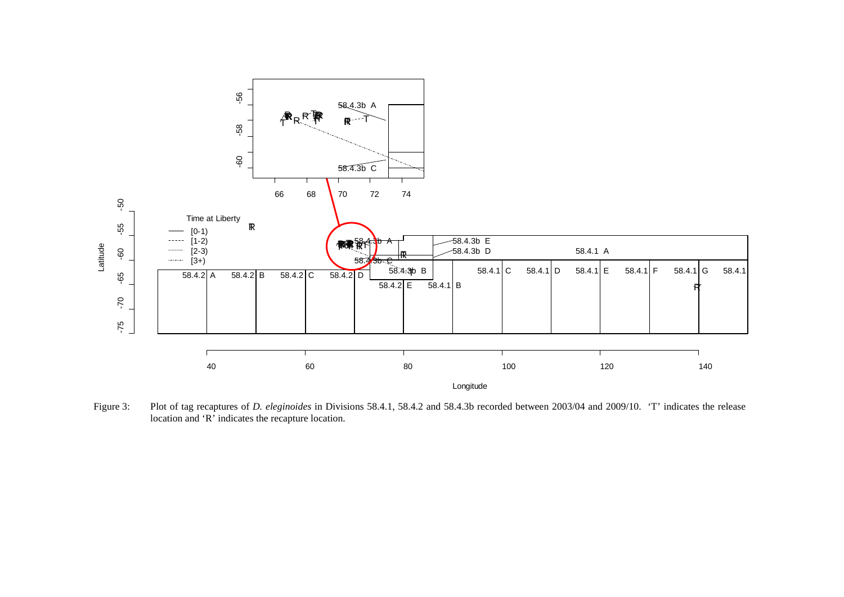

Figure 3: Plot of tag recaptures of *D. eleginoides* in Divisions 58.4.1, 58.4.2 and 58.4.3b recorded between 2003/04 and 2009/10. 'T' indicates the release location and 'R' indicates the recapture location.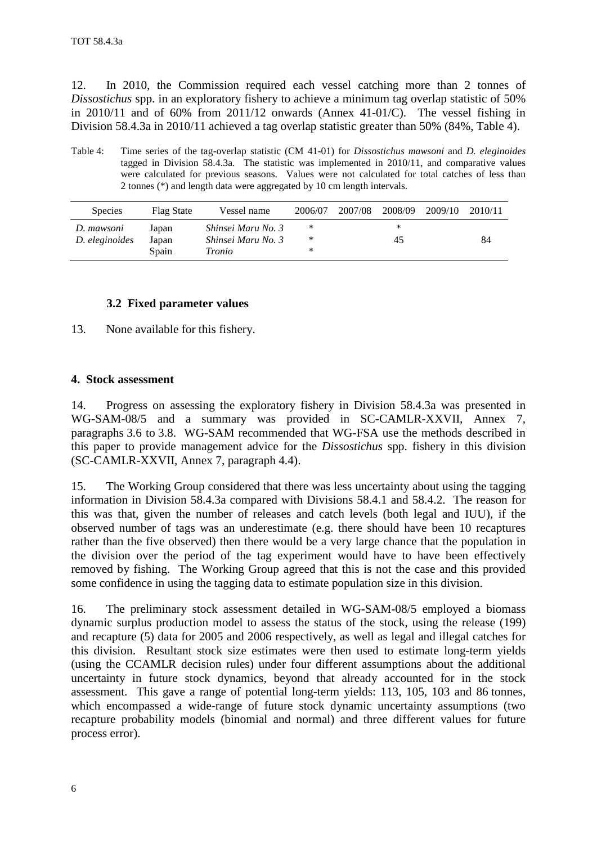<span id="page-7-0"></span>12. In 2010, the Commission required each vessel catching more than 2 tonnes of *Dissostichus* spp. in an exploratory fishery to achieve a minimum tag overlap statistic of 50% in 2010/11 and of 60% from 2011/12 onwards (Annex 41-01/C). The vessel fishing in Division 58.4.3a in 2010/11 achieved a tag overlap statistic greater than 50% (84%, Table 4).

Table 4: Time series of the tag-overlap statistic (CM 41-01) for *Dissostichus mawsoni* and *D. eleginoides* tagged in Division 58.4.3a. The statistic was implemented in 2010/11, and comparative values were calculated for previous seasons. Values were not calculated for total catches of less than 2 tonnes (\*) and length data were aggregated by 10 cm length intervals.

| <b>Species</b> | Flag State | Vessel name        | 2006/07 | 2007/08 | 2008/09 | 2009/10 | 2010/11 |
|----------------|------------|--------------------|---------|---------|---------|---------|---------|
| D. mawsoni     | Japan      | Shinsei Maru No. 3 | ∗       |         | *       |         |         |
| D. eleginoides | Japan      | Shinsei Maru No. 3 | ∗       |         | 45      |         | 84      |
|                | Spain      | Tronio             | ∗       |         |         |         |         |

# **3.2 Fixed parameter values**

13. None available for this fishery.

# **4. Stock assessment**

14. Progress on assessing the exploratory fishery in Division 58.4.3a was presented in WG-SAM-08/5 and a summary was provided in SC-CAMLR-XXVII, Annex 7, paragraphs 3.6 to 3.8. WG-SAM recommended that WG-FSA use the methods described in this paper to provide management advice for the *Dissostichus* spp. fishery in this division (SC-CAMLR-XXVII, Annex 7, paragraph 4.4).

15. The Working Group considered that there was less uncertainty about using the tagging information in Division 58.4.3a compared with Divisions 58.4.1 and 58.4.2. The reason for this was that, given the number of releases and catch levels (both legal and IUU), if the observed number of tags was an underestimate (e.g. there should have been 10 recaptures rather than the five observed) then there would be a very large chance that the population in the division over the period of the tag experiment would have to have been effectively removed by fishing. The Working Group agreed that this is not the case and this provided some confidence in using the tagging data to estimate population size in this division.

16. The preliminary stock assessment detailed in WG-SAM-08/5 employed a biomass dynamic surplus production model to assess the status of the stock, using the release (199) and recapture (5) data for 2005 and 2006 respectively, as well as legal and illegal catches for this division. Resultant stock size estimates were then used to estimate long-term yields (using the CCAMLR decision rules) under four different assumptions about the additional uncertainty in future stock dynamics, beyond that already accounted for in the stock assessment. This gave a range of potential long-term yields: 113, 105, 103 and 86 tonnes, which encompassed a wide-range of future stock dynamic uncertainty assumptions (two recapture probability models (binomial and normal) and three different values for future process error).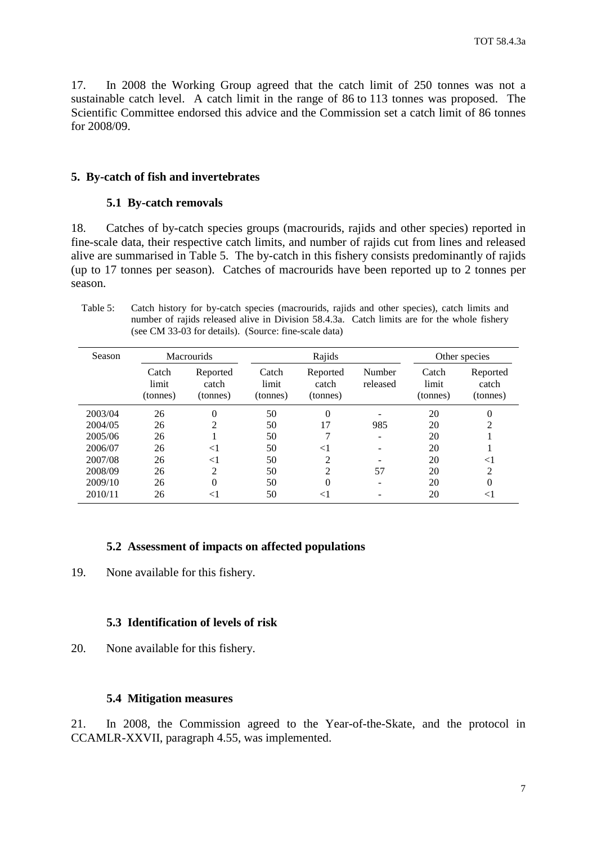<span id="page-8-0"></span>17. In 2008 the Working Group agreed that the catch limit of 250 tonnes was not a sustainable catch level. A catch limit in the range of 86 to 113 tonnes was proposed. The Scientific Committee endorsed this advice and the Commission set a catch limit of 86 tonnes for 2008/09.

#### **5. By-catch of fish and invertebrates**

#### **5.1 By-catch removals**

18. Catches of by-catch species groups (macrourids, rajids and other species) reported in fine-scale data, their respective catch limits, and number of rajids cut from lines and released alive are summarised in Table 5. The by-catch in this fishery consists predominantly of rajids (up to 17 tonnes per season). Catches of macrourids have been reported up to 2 tonnes per season.

Table 5: Catch history for by-catch species (macrourids, rajids and other species), catch limits and number of rajids released alive in Division 58.4.3a. Catch limits are for the whole fishery (see CM 33-03 for details). (Source: fine-scale data)

| Season  | <b>Macrourids</b>          |                               | Rajids                     |                               |                    | Other species              |                               |
|---------|----------------------------|-------------------------------|----------------------------|-------------------------------|--------------------|----------------------------|-------------------------------|
|         | Catch<br>limit<br>(tonnes) | Reported<br>catch<br>(tonnes) | Catch<br>limit<br>(tonnes) | Reported<br>catch<br>(tonnes) | Number<br>released | Catch<br>limit<br>(tonnes) | Reported<br>catch<br>(tonnes) |
| 2003/04 | 26                         | 0                             | 50                         | $\theta$                      |                    | 20                         | 0                             |
| 2004/05 | 26                         | $\mathfrak{D}$                | 50                         | 17                            | 985                | 20                         | 2                             |
| 2005/06 | 26                         |                               | 50                         |                               |                    | 20                         |                               |
| 2006/07 | 26                         | $\leq$ 1                      | 50                         | $<$ 1                         |                    | 20                         |                               |
| 2007/08 | 26                         | $\leq$ 1                      | 50                         | 2                             |                    | 20                         | $<$ l                         |
| 2008/09 | 26                         | 2                             | 50                         | $\overline{c}$                | 57                 | 20                         | $\overline{2}$                |
| 2009/10 | 26                         | $\theta$                      | 50                         | $\theta$                      |                    | 20                         | 0                             |
| 2010/11 | 26                         | $\leq$                        | 50                         | $\leq$ 1                      |                    | 20                         | $<$ $\rm{I}$                  |

# **5.2 Assessment of impacts on affected populations**

19. None available for this fishery.

#### **5.3 Identification of levels of risk**

20. None available for this fishery.

#### **5.4 Mitigation measures**

21. In 2008, the Commission agreed to the Year-of-the-Skate, and the protocol in CCAMLR-XXVII, paragraph 4.55, was implemented.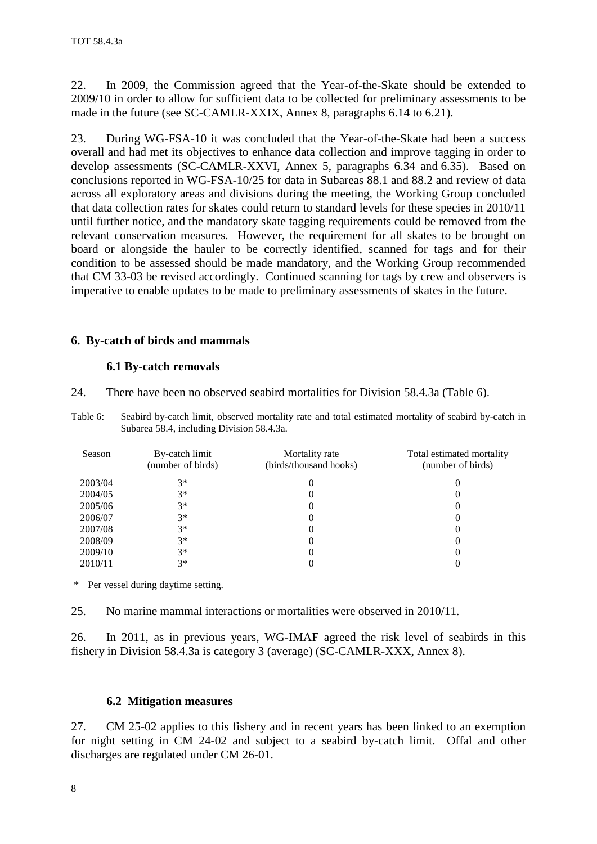<span id="page-9-0"></span>22. In 2009, the Commission agreed that the Year-of-the-Skate should be extended to 2009/10 in order to allow for sufficient data to be collected for preliminary assessments to be made in the future (see SC-CAMLR-XXIX, Annex 8, paragraphs 6.14 to 6.21).

23. During WG-FSA-10 it was concluded that the Year-of-the-Skate had been a success overall and had met its objectives to enhance data collection and improve tagging in order to develop assessments (SC-CAMLR-XXVI, Annex 5, paragraphs 6.34 and 6.35). Based on conclusions reported in WG-FSA-10/25 for data in Subareas 88.1 and 88.2 and review of data across all exploratory areas and divisions during the meeting, the Working Group concluded that data collection rates for skates could return to standard levels for these species in 2010/11 until further notice, and the mandatory skate tagging requirements could be removed from the relevant conservation measures. However, the requirement for all skates to be brought on board or alongside the hauler to be correctly identified, scanned for tags and for their condition to be assessed should be made mandatory, and the Working Group recommended that CM 33-03 be revised accordingly. Continued scanning for tags by crew and observers is imperative to enable updates to be made to preliminary assessments of skates in the future.

### **6. By-catch of birds and mammals**

#### **6.1 By-catch removals**

24. There have been no observed seabird mortalities for Division 58.4.3a (Table 6).

| Season  | By-catch limit<br>(number of birds) | Mortality rate<br>(birds/thousand hooks) | Total estimated mortality<br>(number of birds) |
|---------|-------------------------------------|------------------------------------------|------------------------------------------------|
| 2003/04 | $3*$                                |                                          |                                                |
| 2004/05 | $3*$                                |                                          |                                                |
| 2005/06 | $3^*$                               |                                          |                                                |
| 2006/07 | $3*$                                |                                          |                                                |
| 2007/08 | $3*$                                |                                          |                                                |
| 2008/09 | $3*$                                |                                          |                                                |
| 2009/10 | $3*$                                |                                          |                                                |
| 2010/11 | $3*$                                |                                          |                                                |

Table 6: Seabird by-catch limit, observed mortality rate and total estimated mortality of seabird by-catch in Subarea 58.4, including Division 58.4.3a.

\* Per vessel during daytime setting.

25. No marine mammal interactions or mortalities were observed in 2010/11.

26. In 2011, as in previous years, WG-IMAF agreed the risk level of seabirds in this fishery in Division 58.4.3a is category 3 (average) (SC-CAMLR-XXX, Annex 8).

#### **6.2 Mitigation measures**

27. CM 25-02 applies to this fishery and in recent years has been linked to an exemption for night setting in CM 24-02 and subject to a seabird by-catch limit. Offal and other discharges are regulated under CM 26-01.